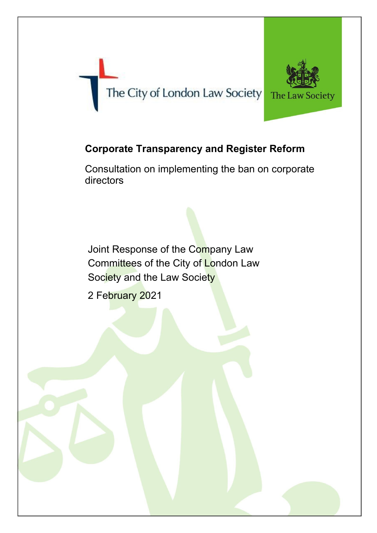# The City of London Law Society



# **Corporate Transparency and Register Reform**

Consultation on implementing the ban on corporate directors

Joint Response of the Company Law Committees of the City of London Law Society and the Law Society

2 February 2021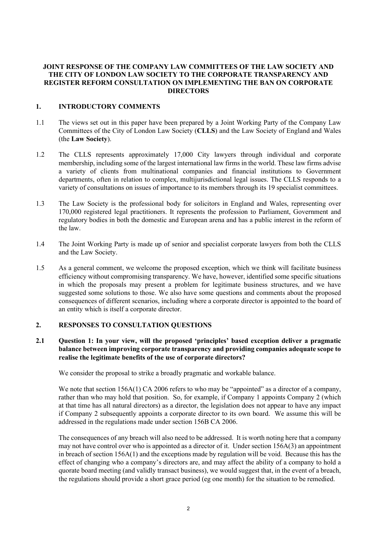## **JOINT RESPONSE OF THE COMPANY LAW COMMITTEES OF THE LAW SOCIETY AND THE CITY OF LONDON LAW SOCIETY TO THE CORPORATE TRANSPARENCY AND REGISTER REFORM CONSULTATION ON IMPLEMENTING THE BAN ON CORPORATE DIRECTORS**

# **1. INTRODUCTORY COMMENTS**

- 1.1 The views set out in this paper have been prepared by a Joint Working Party of the Company Law Committees of the City of London Law Society (**CLLS**) and the Law Society of England and Wales (the **Law Society**).
- 1.2 The CLLS represents approximately 17,000 City lawyers through individual and corporate membership, including some of the largest international law firms in the world. These law firms advise a variety of clients from multinational companies and financial institutions to Government departments, often in relation to complex, multijurisdictional legal issues. The CLLS responds to a variety of consultations on issues of importance to its members through its 19 specialist committees.
- 1.3 The Law Society is the professional body for solicitors in England and Wales, representing over 170,000 registered legal practitioners. It represents the profession to Parliament, Government and regulatory bodies in both the domestic and European arena and has a public interest in the reform of the law.
- 1.4 The Joint Working Party is made up of senior and specialist corporate lawyers from both the CLLS and the Law Society.
- 1.5 As a general comment, we welcome the proposed exception, which we think will facilitate business efficiency without compromising transparency. We have, however, identified some specific situations in which the proposals may present a problem for legitimate business structures, and we have suggested some solutions to those. We also have some questions and comments about the proposed consequences of different scenarios, including where a corporate director is appointed to the board of an entity which is itself a corporate director.

#### **2. RESPONSES TO CONSULTATION QUESTIONS**

**2.1 Question 1: In your view, will the proposed 'principles' based exception deliver a pragmatic balance between improving corporate transparency and providing companies adequate scope to realise the legitimate benefits of the use of corporate directors?**

We consider the proposal to strike a broadly pragmatic and workable balance.

We note that section 156A(1) CA 2006 refers to who may be "appointed" as a director of a company, rather than who may hold that position. So, for example, if Company 1 appoints Company 2 (which at that time has all natural directors) as a director, the legislation does not appear to have any impact if Company 2 subsequently appoints a corporate director to its own board. We assume this will be addressed in the regulations made under section 156B CA 2006.

The consequences of any breach will also need to be addressed. It is worth noting here that a company may not have control over who is appointed as a director of it. Under section 156A(3) an appointment in breach of section 156A(1) and the exceptions made by regulation will be void. Because this has the effect of changing who a company's directors are, and may affect the ability of a company to hold a quorate board meeting (and validly transact business), we would suggest that, in the event of a breach, the regulations should provide a short grace period (eg one month) for the situation to be remedied.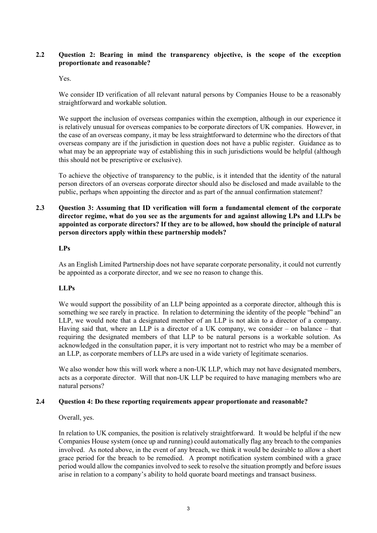# **2.2 Question 2: Bearing in mind the transparency objective, is the scope of the exception proportionate and reasonable?**

#### Yes.

We consider ID verification of all relevant natural persons by Companies House to be a reasonably straightforward and workable solution.

We support the inclusion of overseas companies within the exemption, although in our experience it is relatively unusual for overseas companies to be corporate directors of UK companies. However, in the case of an overseas company, it may be less straightforward to determine who the directors of that overseas company are if the jurisdiction in question does not have a public register. Guidance as to what may be an appropriate way of establishing this in such jurisdictions would be helpful (although this should not be prescriptive or exclusive).

To achieve the objective of transparency to the public, is it intended that the identity of the natural person directors of an overseas corporate director should also be disclosed and made available to the public, perhaps when appointing the director and as part of the annual confirmation statement?

# **2.3 Question 3: Assuming that ID verification will form a fundamental element of the corporate director regime, what do you see as the arguments for and against allowing LPs and LLPs be appointed as corporate directors? If they are to be allowed, how should the principle of natural person directors apply within these partnership models?**

#### **LPs**

As an English Limited Partnership does not have separate corporate personality, it could not currently be appointed as a corporate director, and we see no reason to change this.

#### **LLPs**

We would support the possibility of an LLP being appointed as a corporate director, although this is something we see rarely in practice. In relation to determining the identity of the people "behind" an LLP, we would note that a designated member of an LLP is not akin to a director of a company. Having said that, where an LLP is a director of a UK company, we consider – on balance – that requiring the designated members of that LLP to be natural persons is a workable solution. As acknowledged in the consultation paper, it is very important not to restrict who may be a member of an LLP, as corporate members of LLPs are used in a wide variety of legitimate scenarios.

We also wonder how this will work where a non-UK LLP, which may not have designated members, acts as a corporate director. Will that non-UK LLP be required to have managing members who are natural persons?

#### **2.4 Question 4: Do these reporting requirements appear proportionate and reasonable?**

Overall, yes.

In relation to UK companies, the position is relatively straightforward. It would be helpful if the new Companies House system (once up and running) could automatically flag any breach to the companies involved. As noted above, in the event of any breach, we think it would be desirable to allow a short grace period for the breach to be remedied. A prompt notification system combined with a grace period would allow the companies involved to seek to resolve the situation promptly and before issues arise in relation to a company's ability to hold quorate board meetings and transact business.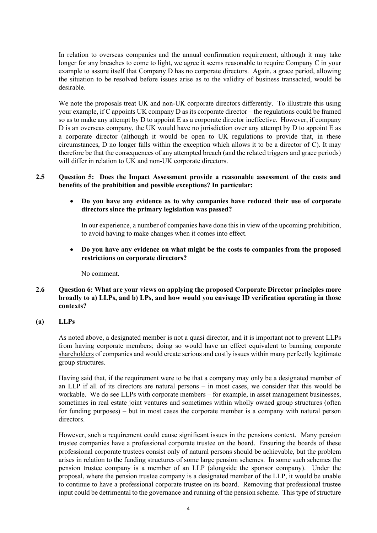In relation to overseas companies and the annual confirmation requirement, although it may take longer for any breaches to come to light, we agree it seems reasonable to require Company C in your example to assure itself that Company D has no corporate directors. Again, a grace period, allowing the situation to be resolved before issues arise as to the validity of business transacted, would be desirable.

We note the proposals treat UK and non-UK corporate directors differently. To illustrate this using your example, if C appoints UK company D as its corporate director – the regulations could be framed so as to make any attempt by D to appoint E as a corporate director ineffective. However, if company D is an overseas company, the UK would have no jurisdiction over any attempt by D to appoint E as a corporate director (although it would be open to UK regulations to provide that, in these circumstances, D no longer falls within the exception which allows it to be a director of C). It may therefore be that the consequences of any attempted breach (and the related triggers and grace periods) will differ in relation to UK and non-UK corporate directors.

# **2.5 Question 5: Does the Impact Assessment provide a reasonable assessment of the costs and benefits of the prohibition and possible exceptions? In particular:**

• **Do you have any evidence as to why companies have reduced their use of corporate directors since the primary legislation was passed?**

In our experience, a number of companies have done this in view of the upcoming prohibition, to avoid having to make changes when it comes into effect.

• **Do you have any evidence on what might be the costs to companies from the proposed restrictions on corporate directors?** 

No comment.

### **2.6 Question 6: What are your views on applying the proposed Corporate Director principles more broadly to a) LLPs, and b) LPs, and how would you envisage ID verification operating in those contexts?**

# **(a) LLPs**

As noted above, a designated member is not a quasi director, and it is important not to prevent LLPs from having corporate members; doing so would have an effect equivalent to banning corporate shareholders of companies and would create serious and costly issues within many perfectly legitimate group structures.

Having said that, if the requirement were to be that a company may only be a designated member of an LLP if all of its directors are natural persons – in most cases, we consider that this would be workable. We do see LLPs with corporate members – for example, in asset management businesses, sometimes in real estate joint ventures and sometimes within wholly owned group structures (often for funding purposes) – but in most cases the corporate member is a company with natural person directors.

However, such a requirement could cause significant issues in the pensions context. Many pension trustee companies have a professional corporate trustee on the board. Ensuring the boards of these professional corporate trustees consist only of natural persons should be achievable, but the problem arises in relation to the funding structures of some large pension schemes. In some such schemes the pension trustee company is a member of an LLP (alongside the sponsor company). Under the proposal, where the pension trustee company is a designated member of the LLP, it would be unable to continue to have a professional corporate trustee on its board. Removing that professional trustee input could be detrimental to the governance and running of the pension scheme. This type of structure